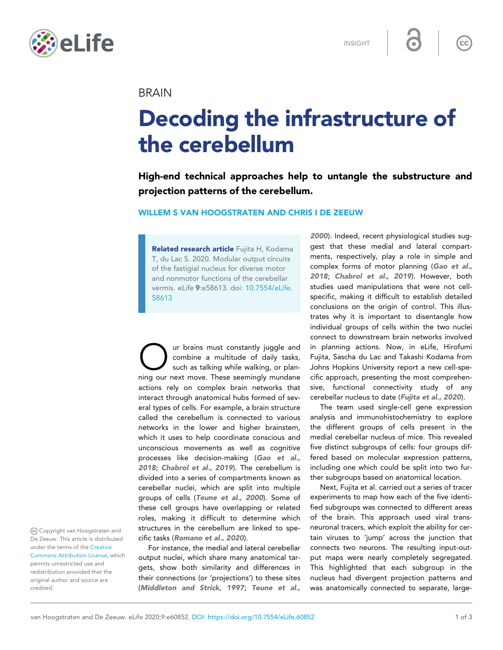

INSIGHT

 $cc$ 

## **BRAIN**

# Decoding the infrastructure of the cerebellum

High-end technical approaches help to untangle the substructure and projection patterns of the cerebellum.

## WILLEM S VAN HOOGSTRATEN AND CHRIS I DE ZEEUW

Related research article Fujita H, Kodama T, du Lac S. 2020. Modular output circuits of the fastigial nucleus for diverse motor and nonmotor functions of the cerebellar vermis. eLife 9:e58613. doi: [10.7554/eLife.](http://doi.org/10.7554/eLife.58613) [58613](http://doi.org/10.7554/eLife.58613)

Our brains must constantly juggle and combine a multitude of daily tasks, such as talking while walking, or planning our next move. These seemingly mundane ur brains must constantly juggle and combine a multitude of daily tasks, such as talking while walking, or planactions rely on complex brain networks that interact through anatomical hubs formed of several types of cells. For example, a brain structure called the cerebellum is connected to various networks in the lower and higher brainstem, which it uses to help coordinate conscious and unconscious movements as well as cognitive processes like decision-making ([Gao et al.,](#page-2-0) [2018](#page-2-0); [Chabrol et al., 2019](#page-2-0)). The cerebellum is divided into a series of compartments known as cerebellar nuclei, which are split into multiple groups of cells ([Teune et al., 2000](#page-2-0)). Some of these cell groups have overlapping or related roles, making it difficult to determine which structures in the cerebellum are linked to specific tasks ([Romano et al., 2020](#page-2-0)).

For instance, the medial and lateral cerebellar output nuclei, which share many anatomical targets, show both similarity and differences in their connections (or 'projections') to these sites ([Middleton and Strick, 1997](#page-2-0); [Teune et al.,](#page-2-0) [2000](#page-2-0)). Indeed, recent physiological studies suggest that these medial and lateral compartments, respectively, play a role in simple and complex forms of motor planning ([Gao et al.,](#page-2-0) [2018](#page-2-0); [Chabrol et al., 2019](#page-2-0)). However, both studies used manipulations that were not cellspecific, making it difficult to establish detailed conclusions on the origin of control. This illustrates why it is important to disentangle how individual groups of cells within the two nuclei connect to downstream brain networks involved in planning actions. Now, in eLife, Hirofumi Fujita, Sascha du Lac and Takashi Kodama from Johns Hopkins University report a new cell-specific approach, presenting the most comprehensive, functional connectivity study of any cerebellar nucleus to date ([Fujita et al., 2020](#page-2-0)).

The team used single-cell gene expression analysis and immunohistochemistry to explore the different groups of cells present in the medial cerebellar nucleus of mice. This revealed five distinct subgroups of cells: four groups differed based on molecular expression patterns, including one which could be split into two further subgroups based on anatomical location.

Next, Fujita et al. carried out a series of tracer experiments to map how each of the five identified subgroups was connected to different areas of the brain. This approach used viral transneuronal tracers, which exploit the ability for certain viruses to 'jump' across the junction that connects two neurons. The resulting input-output maps were nearly completely segregated. This highlighted that each subgroup in the nucleus had divergent projection patterns and was anatomically connected to separate, large-

Copyright van Hoogstraten and De Zeeuw. This article is distributed under the terms of the [Creative](http://creativecommons.org/licenses/by/4.0/) [Commons Attribution License,](http://creativecommons.org/licenses/by/4.0/) which permits unrestricted use and redistribution provided that the original author and source are credited.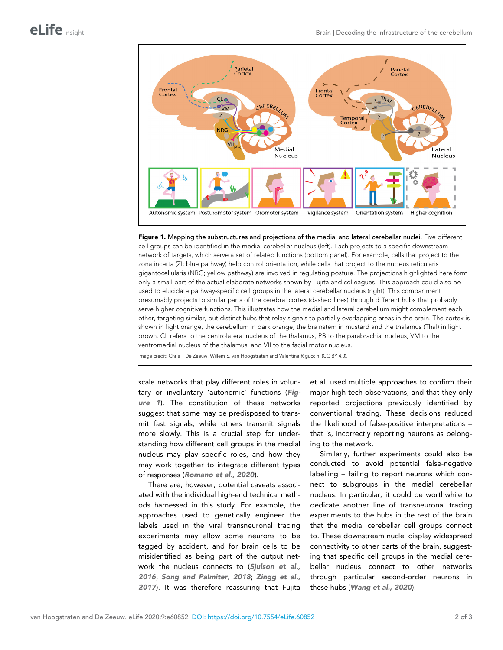<span id="page-1-0"></span>

Figure 1. Mapping the substructures and projections of the medial and lateral cerebellar nuclei. Five different cell groups can be identified in the medial cerebellar nucleus (left). Each projects to a specific downstream network of targets, which serve a set of related functions (bottom panel). For example, cells that project to the zona incerta (ZI; blue pathway) help control orientation, while cells that project to the nucleus reticularis gigantocellularis (NRG; yellow pathway) are involved in regulating posture. The projections highlighted here form only a small part of the actual elaborate networks shown by Fujita and colleagues. This approach could also be used to elucidate pathway-specific cell groups in the lateral cerebellar nucleus (right). This compartment presumably projects to similar parts of the cerebral cortex (dashed lines) through different hubs that probably serve higher cognitive functions. This illustrates how the medial and lateral cerebellum might complement each other, targeting similar, but distinct hubs that relay signals to partially overlapping areas in the brain. The cortex is shown in light orange, the cerebellum in dark orange, the brainstem in mustard and the thalamus (Thal) in light brown. CL refers to the centrolateral nucleus of the thalamus, PB to the parabrachial nucleus, VM to the ventromedial nucleus of the thalamus, and VII to the facial motor nucleus.

Image credit: Chris I. De Zeeuw, Willem S. van Hoogstraten and Valentina Riguccini (CC BY 4.0).

scale networks that play different roles in voluntary or involuntary 'autonomic' functions (Figure 1). The constitution of these networks suggest that some may be predisposed to transmit fast signals, while others transmit signals more slowly. This is a crucial step for understanding how different cell groups in the medial nucleus may play specific roles, and how they may work together to integrate different types of responses ([Romano et al., 2020](#page-2-0)).

There are, however, potential caveats associated with the individual high-end technical methods harnessed in this study. For example, the approaches used to genetically engineer the labels used in the viral transneuronal tracing experiments may allow some neurons to be tagged by accident, and for brain cells to be misidentified as being part of the output net-work the nucleus connects to ([Sjulson et al.,](#page-2-0) [2016](#page-2-0); [Song and Palmiter, 2018](#page-2-0); [Zingg et al.,](#page-2-0) [2017](#page-2-0)). It was therefore reassuring that Fujita

et al. used multiple approaches to confirm their major high-tech observations, and that they only reported projections previously identified by conventional tracing. These decisions reduced the likelihood of false-positive interpretations – that is, incorrectly reporting neurons as belonging to the network.

Similarly, further experiments could also be conducted to avoid potential false-negative labelling – failing to report neurons which connect to subgroups in the medial cerebellar nucleus. In particular, it could be worthwhile to dedicate another line of transneuronal tracing experiments to the hubs in the rest of the brain that the medial cerebellar cell groups connect to. These downstream nuclei display widespread connectivity to other parts of the brain, suggesting that specific cell groups in the medial cerebellar nucleus connect to other networks through particular second-order neurons in these hubs ([Wang et al., 2020](#page-2-0)).